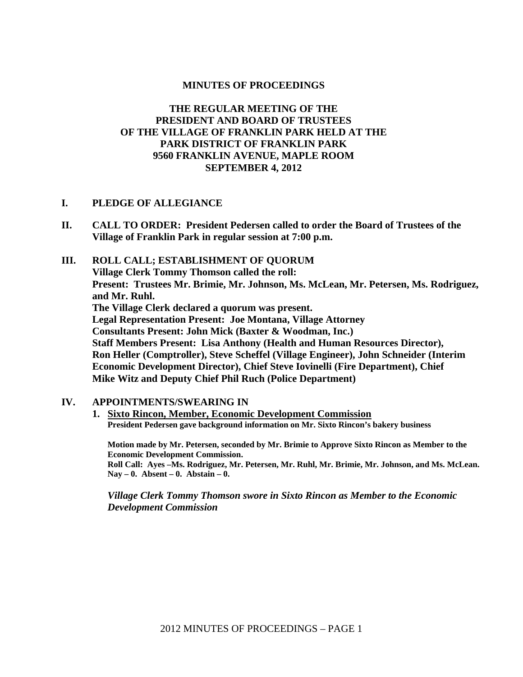#### **MINUTES OF PROCEEDINGS**

## **THE REGULAR MEETING OF THE PRESIDENT AND BOARD OF TRUSTEES OF THE VILLAGE OF FRANKLIN PARK HELD AT THE PARK DISTRICT OF FRANKLIN PARK 9560 FRANKLIN AVENUE, MAPLE ROOM SEPTEMBER 4, 2012**

#### **I. PLEDGE OF ALLEGIANCE**

- **II. CALL TO ORDER: President Pedersen called to order the Board of Trustees of the Village of Franklin Park in regular session at 7:00 p.m.**
- **III. ROLL CALL; ESTABLISHMENT OF QUORUM Village Clerk Tommy Thomson called the roll: Present: Trustees Mr. Brimie, Mr. Johnson, Ms. McLean, Mr. Petersen, Ms. Rodriguez, and Mr. Ruhl. The Village Clerk declared a quorum was present. Legal Representation Present: Joe Montana, Village Attorney Consultants Present: John Mick (Baxter & Woodman, Inc.) Staff Members Present: Lisa Anthony (Health and Human Resources Director), Ron Heller (Comptroller), Steve Scheffel (Village Engineer), John Schneider (Interim Economic Development Director), Chief Steve Iovinelli (Fire Department), Chief Mike Witz and Deputy Chief Phil Ruch (Police Department)**

#### **IV. APPOINTMENTS/SWEARING IN**

**1. Sixto Rincon, Member, Economic Development Commission President Pedersen gave background information on Mr. Sixto Rincon's bakery business** 

**Motion made by Mr. Petersen, seconded by Mr. Brimie to Approve Sixto Rincon as Member to the Economic Development Commission.** 

**Roll Call: Ayes –Ms. Rodriguez, Mr. Petersen, Mr. Ruhl, Mr. Brimie, Mr. Johnson, and Ms. McLean. Nay – 0. Absent – 0. Abstain – 0.**

*Village Clerk Tommy Thomson swore in Sixto Rincon as Member to the Economic Development Commission*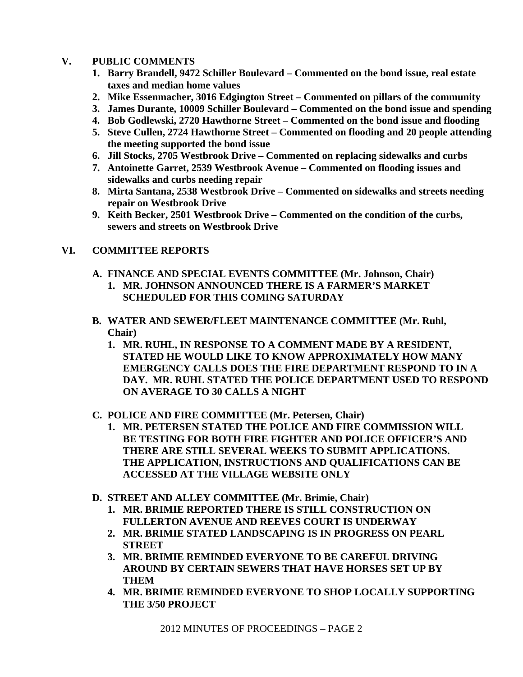## **V. PUBLIC COMMENTS**

- **1. Barry Brandell, 9472 Schiller Boulevard Commented on the bond issue, real estate taxes and median home values**
- **2. Mike Essenmacher, 3016 Edgington Street Commented on pillars of the community**
- **3. James Durante, 10009 Schiller Boulevard Commented on the bond issue and spending**
- **4. Bob Godlewski, 2720 Hawthorne Street Commented on the bond issue and flooding**
- **5. Steve Cullen, 2724 Hawthorne Street Commented on flooding and 20 people attending the meeting supported the bond issue**
- **6. Jill Stocks, 2705 Westbrook Drive Commented on replacing sidewalks and curbs**
- **7. Antoinette Garret, 2539 Westbrook Avenue Commented on flooding issues and sidewalks and curbs needing repair**
- **8. Mirta Santana, 2538 Westbrook Drive Commented on sidewalks and streets needing repair on Westbrook Drive**
- **9. Keith Becker, 2501 Westbrook Drive Commented on the condition of the curbs, sewers and streets on Westbrook Drive**

# **VI. COMMITTEE REPORTS**

- **A. FINANCE AND SPECIAL EVENTS COMMITTEE (Mr. Johnson, Chair)** 
	- **1. MR. JOHNSON ANNOUNCED THERE IS A FARMER'S MARKET SCHEDULED FOR THIS COMING SATURDAY**
- **B. WATER AND SEWER/FLEET MAINTENANCE COMMITTEE (Mr. Ruhl, Chair)** 
	- **1. MR. RUHL, IN RESPONSE TO A COMMENT MADE BY A RESIDENT, STATED HE WOULD LIKE TO KNOW APPROXIMATELY HOW MANY EMERGENCY CALLS DOES THE FIRE DEPARTMENT RESPOND TO IN A DAY. MR. RUHL STATED THE POLICE DEPARTMENT USED TO RESPOND ON AVERAGE TO 30 CALLS A NIGHT**
- **C. POLICE AND FIRE COMMITTEE (Mr. Petersen, Chair)** 
	- **1. MR. PETERSEN STATED THE POLICE AND FIRE COMMISSION WILL BE TESTING FOR BOTH FIRE FIGHTER AND POLICE OFFICER'S AND THERE ARE STILL SEVERAL WEEKS TO SUBMIT APPLICATIONS. THE APPLICATION, INSTRUCTIONS AND QUALIFICATIONS CAN BE ACCESSED AT THE VILLAGE WEBSITE ONLY**
- **D. STREET AND ALLEY COMMITTEE (Mr. Brimie, Chair)** 
	- **1. MR. BRIMIE REPORTED THERE IS STILL CONSTRUCTION ON FULLERTON AVENUE AND REEVES COURT IS UNDERWAY**
	- **2. MR. BRIMIE STATED LANDSCAPING IS IN PROGRESS ON PEARL STREET**
	- **3. MR. BRIMIE REMINDED EVERYONE TO BE CAREFUL DRIVING AROUND BY CERTAIN SEWERS THAT HAVE HORSES SET UP BY THEM**
	- **4. MR. BRIMIE REMINDED EVERYONE TO SHOP LOCALLY SUPPORTING THE 3/50 PROJECT**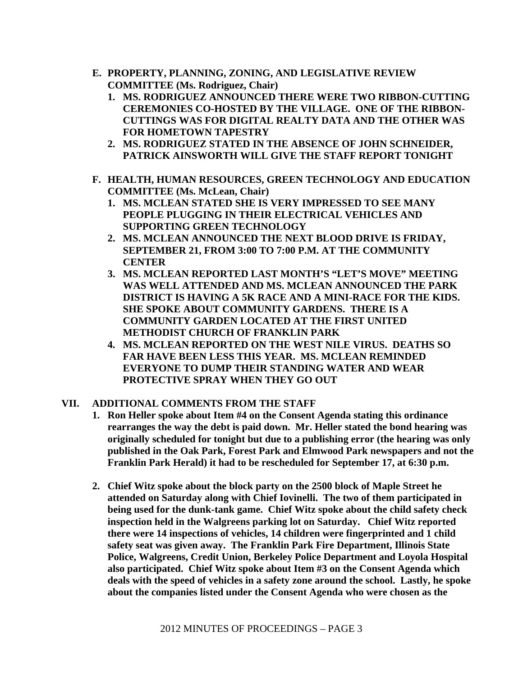- **E. PROPERTY, PLANNING, ZONING, AND LEGISLATIVE REVIEW COMMITTEE (Ms. Rodriguez, Chair)** 
	- **1. MS. RODRIGUEZ ANNOUNCED THERE WERE TWO RIBBON-CUTTING CEREMONIES CO-HOSTED BY THE VILLAGE. ONE OF THE RIBBON-CUTTINGS WAS FOR DIGITAL REALTY DATA AND THE OTHER WAS FOR HOMETOWN TAPESTRY**
	- **2. MS. RODRIGUEZ STATED IN THE ABSENCE OF JOHN SCHNEIDER, PATRICK AINSWORTH WILL GIVE THE STAFF REPORT TONIGHT**
- **F. HEALTH, HUMAN RESOURCES, GREEN TECHNOLOGY AND EDUCATION COMMITTEE (Ms. McLean, Chair)** 
	- **1. MS. MCLEAN STATED SHE IS VERY IMPRESSED TO SEE MANY PEOPLE PLUGGING IN THEIR ELECTRICAL VEHICLES AND SUPPORTING GREEN TECHNOLOGY**
	- **2. MS. MCLEAN ANNOUNCED THE NEXT BLOOD DRIVE IS FRIDAY, SEPTEMBER 21, FROM 3:00 TO 7:00 P.M. AT THE COMMUNITY CENTER**
	- **3. MS. MCLEAN REPORTED LAST MONTH'S "LET'S MOVE" MEETING WAS WELL ATTENDED AND MS. MCLEAN ANNOUNCED THE PARK DISTRICT IS HAVING A 5K RACE AND A MINI-RACE FOR THE KIDS. SHE SPOKE ABOUT COMMUNITY GARDENS. THERE IS A COMMUNITY GARDEN LOCATED AT THE FIRST UNITED METHODIST CHURCH OF FRANKLIN PARK**
	- **4. MS. MCLEAN REPORTED ON THE WEST NILE VIRUS. DEATHS SO FAR HAVE BEEN LESS THIS YEAR. MS. MCLEAN REMINDED EVERYONE TO DUMP THEIR STANDING WATER AND WEAR PROTECTIVE SPRAY WHEN THEY GO OUT**

# **VII. ADDITIONAL COMMENTS FROM THE STAFF**

- **1. Ron Heller spoke about Item #4 on the Consent Agenda stating this ordinance rearranges the way the debt is paid down. Mr. Heller stated the bond hearing was originally scheduled for tonight but due to a publishing error (the hearing was only published in the Oak Park, Forest Park and Elmwood Park newspapers and not the Franklin Park Herald) it had to be rescheduled for September 17, at 6:30 p.m.**
- **2. Chief Witz spoke about the block party on the 2500 block of Maple Street he attended on Saturday along with Chief Iovinelli. The two of them participated in being used for the dunk-tank game. Chief Witz spoke about the child safety check inspection held in the Walgreens parking lot on Saturday. Chief Witz reported there were 14 inspections of vehicles, 14 children were fingerprinted and 1 child safety seat was given away. The Franklin Park Fire Department, Illinois State Police, Walgreens, Credit Union, Berkeley Police Department and Loyola Hospital also participated. Chief Witz spoke about Item #3 on the Consent Agenda which deals with the speed of vehicles in a safety zone around the school. Lastly, he spoke about the companies listed under the Consent Agenda who were chosen as the**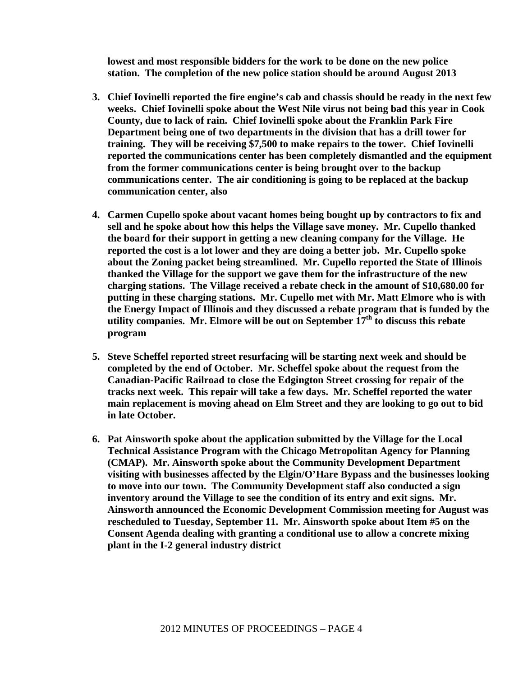**lowest and most responsible bidders for the work to be done on the new police station. The completion of the new police station should be around August 2013** 

- **3. Chief Iovinelli reported the fire engine's cab and chassis should be ready in the next few weeks. Chief Iovinelli spoke about the West Nile virus not being bad this year in Cook County, due to lack of rain. Chief Iovinelli spoke about the Franklin Park Fire Department being one of two departments in the division that has a drill tower for training. They will be receiving \$7,500 to make repairs to the tower. Chief Iovinelli reported the communications center has been completely dismantled and the equipment from the former communications center is being brought over to the backup communications center. The air conditioning is going to be replaced at the backup communication center, also**
- **4. Carmen Cupello spoke about vacant homes being bought up by contractors to fix and sell and he spoke about how this helps the Village save money. Mr. Cupello thanked the board for their support in getting a new cleaning company for the Village. He reported the cost is a lot lower and they are doing a better job. Mr. Cupello spoke about the Zoning packet being streamlined. Mr. Cupello reported the State of Illinois thanked the Village for the support we gave them for the infrastructure of the new charging stations. The Village received a rebate check in the amount of \$10,680.00 for putting in these charging stations. Mr. Cupello met with Mr. Matt Elmore who is with the Energy Impact of Illinois and they discussed a rebate program that is funded by the utility companies. Mr. Elmore will be out on September 17th to discuss this rebate program**
- **5. Steve Scheffel reported street resurfacing will be starting next week and should be completed by the end of October. Mr. Scheffel spoke about the request from the Canadian-Pacific Railroad to close the Edgington Street crossing for repair of the tracks next week. This repair will take a few days. Mr. Scheffel reported the water main replacement is moving ahead on Elm Street and they are looking to go out to bid in late October.**
- **6. Pat Ainsworth spoke about the application submitted by the Village for the Local Technical Assistance Program with the Chicago Metropolitan Agency for Planning (CMAP). Mr. Ainsworth spoke about the Community Development Department visiting with businesses affected by the Elgin/O'Hare Bypass and the businesses looking to move into our town. The Community Development staff also conducted a sign inventory around the Village to see the condition of its entry and exit signs. Mr. Ainsworth announced the Economic Development Commission meeting for August was rescheduled to Tuesday, September 11. Mr. Ainsworth spoke about Item #5 on the Consent Agenda dealing with granting a conditional use to allow a concrete mixing plant in the I-2 general industry district**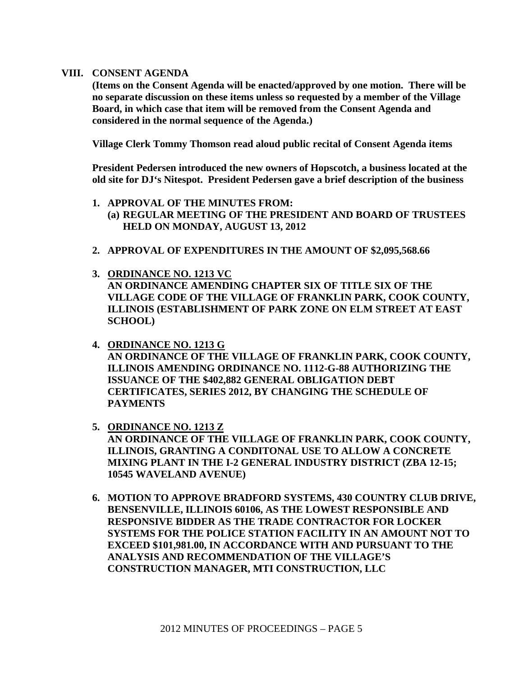#### **VIII. CONSENT AGENDA**

**(Items on the Consent Agenda will be enacted/approved by one motion. There will be no separate discussion on these items unless so requested by a member of the Village Board, in which case that item will be removed from the Consent Agenda and considered in the normal sequence of the Agenda.)** 

**Village Clerk Tommy Thomson read aloud public recital of Consent Agenda items** 

**President Pedersen introduced the new owners of Hopscotch, a business located at the old site for DJ's Nitespot. President Pedersen gave a brief description of the business** 

- **1. APPROVAL OF THE MINUTES FROM: (a) REGULAR MEETING OF THE PRESIDENT AND BOARD OF TRUSTEES HELD ON MONDAY, AUGUST 13, 2012**
- **2. APPROVAL OF EXPENDITURES IN THE AMOUNT OF \$2,095,568.66**
- **3. ORDINANCE NO. 1213 VC AN ORDINANCE AMENDING CHAPTER SIX OF TITLE SIX OF THE VILLAGE CODE OF THE VILLAGE OF FRANKLIN PARK, COOK COUNTY, ILLINOIS (ESTABLISHMENT OF PARK ZONE ON ELM STREET AT EAST SCHOOL)**
- **4. ORDINANCE NO. 1213 G AN ORDINANCE OF THE VILLAGE OF FRANKLIN PARK, COOK COUNTY, ILLINOIS AMENDING ORDINANCE NO. 1112-G-88 AUTHORIZING THE ISSUANCE OF THE \$402,882 GENERAL OBLIGATION DEBT CERTIFICATES, SERIES 2012, BY CHANGING THE SCHEDULE OF PAYMENTS**
- **5. ORDINANCE NO. 1213 Z AN ORDINANCE OF THE VILLAGE OF FRANKLIN PARK, COOK COUNTY, ILLINOIS, GRANTING A CONDITONAL USE TO ALLOW A CONCRETE MIXING PLANT IN THE I-2 GENERAL INDUSTRY DISTRICT (ZBA 12-15; 10545 WAVELAND AVENUE)**
- **6. MOTION TO APPROVE BRADFORD SYSTEMS, 430 COUNTRY CLUB DRIVE, BENSENVILLE, ILLINOIS 60106, AS THE LOWEST RESPONSIBLE AND RESPONSIVE BIDDER AS THE TRADE CONTRACTOR FOR LOCKER SYSTEMS FOR THE POLICE STATION FACILITY IN AN AMOUNT NOT TO EXCEED \$101,981.00, IN ACCORDANCE WITH AND PURSUANT TO THE ANALYSIS AND RECOMMENDATION OF THE VILLAGE'S CONSTRUCTION MANAGER, MTI CONSTRUCTION, LLC**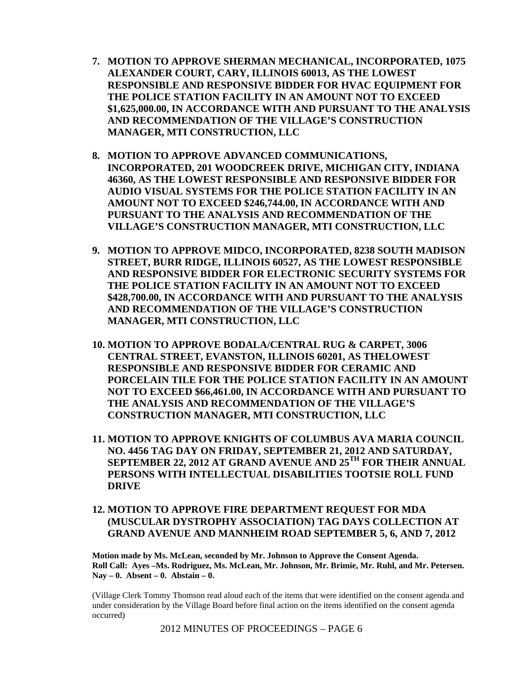- **7. MOTION TO APPROVE SHERMAN MECHANICAL, INCORPORATED, 1075 ALEXANDER COURT, CARY, ILLINOIS 60013, AS THE LOWEST RESPONSIBLE AND RESPONSIVE BIDDER FOR HVAC EQUIPMENT FOR THE POLICE STATION FACILITY IN AN AMOUNT NOT TO EXCEED \$1,625,000.00, IN ACCORDANCE WITH AND PURSUANT TO THE ANALYSIS AND RECOMMENDATION OF THE VILLAGE'S CONSTRUCTION MANAGER, MTI CONSTRUCTION, LLC**
- **8. MOTION TO APPROVE ADVANCED COMMUNICATIONS, INCORPORATED, 201 WOODCREEK DRIVE, MICHIGAN CITY, INDIANA 46360, AS THE LOWEST RESPONSIBLE AND RESPONSIVE BIDDER FOR AUDIO VISUAL SYSTEMS FOR THE POLICE STATION FACILITY IN AN AMOUNT NOT TO EXCEED \$246,744.00, IN ACCORDANCE WITH AND PURSUANT TO THE ANALYSIS AND RECOMMENDATION OF THE VILLAGE'S CONSTRUCTION MANAGER, MTI CONSTRUCTION, LLC**
- **9. MOTION TO APPROVE MIDCO, INCORPORATED, 8238 SOUTH MADISON STREET, BURR RIDGE, ILLINOIS 60527, AS THE LOWEST RESPONSIBLE AND RESPONSIVE BIDDER FOR ELECTRONIC SECURITY SYSTEMS FOR THE POLICE STATION FACILITY IN AN AMOUNT NOT TO EXCEED \$428,700.00, IN ACCORDANCE WITH AND PURSUANT TO THE ANALYSIS AND RECOMMENDATION OF THE VILLAGE'S CONSTRUCTION MANAGER, MTI CONSTRUCTION, LLC**
- **10. MOTION TO APPROVE BODALA/CENTRAL RUG & CARPET, 3006 CENTRAL STREET, EVANSTON, ILLINOIS 60201, AS THELOWEST RESPONSIBLE AND RESPONSIVE BIDDER FOR CERAMIC AND PORCELAIN TILE FOR THE POLICE STATION FACILITY IN AN AMOUNT NOT TO EXCEED \$66,461.00, IN ACCORDANCE WITH AND PURSUANT TO THE ANALYSIS AND RECOMMENDATION OF THE VILLAGE'S CONSTRUCTION MANAGER, MTI CONSTRUCTION, LLC**
- **11. MOTION TO APPROVE KNIGHTS OF COLUMBUS AVA MARIA COUNCIL NO. 4456 TAG DAY ON FRIDAY, SEPTEMBER 21, 2012 AND SATURDAY, SEPTEMBER 22, 2012 AT GRAND AVENUE AND 25TH FOR THEIR ANNUAL PERSONS WITH INTELLECTUAL DISABILITIES TOOTSIE ROLL FUND DRIVE**
- **12. MOTION TO APPROVE FIRE DEPARTMENT REQUEST FOR MDA (MUSCULAR DYSTROPHY ASSOCIATION) TAG DAYS COLLECTION AT GRAND AVENUE AND MANNHEIM ROAD SEPTEMBER 5, 6, AND 7, 2012**

**Motion made by Ms. McLean, seconded by Mr. Johnson to Approve the Consent Agenda. Roll Call: Ayes –Ms. Rodriguez, Ms. McLean, Mr. Johnson, Mr. Brimie, Mr. Ruhl, and Mr. Petersen. Nay – 0. Absent – 0. Abstain – 0.** 

(Village Clerk Tommy Thomson read aloud each of the items that were identified on the consent agenda and under consideration by the Village Board before final action on the items identified on the consent agenda occurred)

2012 MINUTES OF PROCEEDINGS – PAGE 6